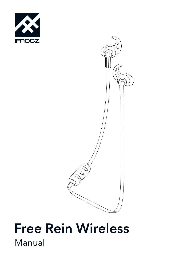



# Manual Free Rein Wireless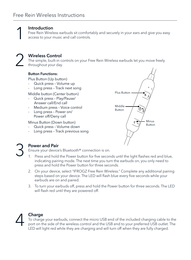

### Introduction

Free Rein Wireless earbuds sit comfortably and securely in your ears and give you easy access to your music and call controls.

2

# Wireless Control

The simple, built-in controls on your Free Rein Wireless earbuds let you move freely throughout your day.

#### Button Functions:

Plus Button (Up button)

- Quick press Volume up
- Long press Track next song

Middle button (Center button)

- Quick press Play/Pause/ Answer call/End call
- Medium press Voice control
- Long press Power on/ Power off/Deny call

Minus Button (Down button)

- Quick press Volume down
- Long press Track previous song



# Power and Pair

Ensure your device's Bluetooth® connection is on.

- 1. Press and hold the Power button for five seconds until the light flashes red and blue, indicating pairing mode. The next time you turn the earbuds on, you only need to press and hold the Power button for three seconds.
- 2. On your device, select "IFROGZ Free Rein Wireless." Complete any additional pairing steps based on your device. The LED will flash blue every five seconds while your earbuds are on and paired.
- 3. To turn your earbuds off, press and hold the Power button for three seconds. The LED will flash red until they are powered off.

# 4

3

# Charge

To charge your earbuds, connect the micro USB end of the included charging cable to the port on the side of the wireless control and the USB end to your preferred USB outlet. The LED will light red while they are charging and will turn off when they are fully charged.